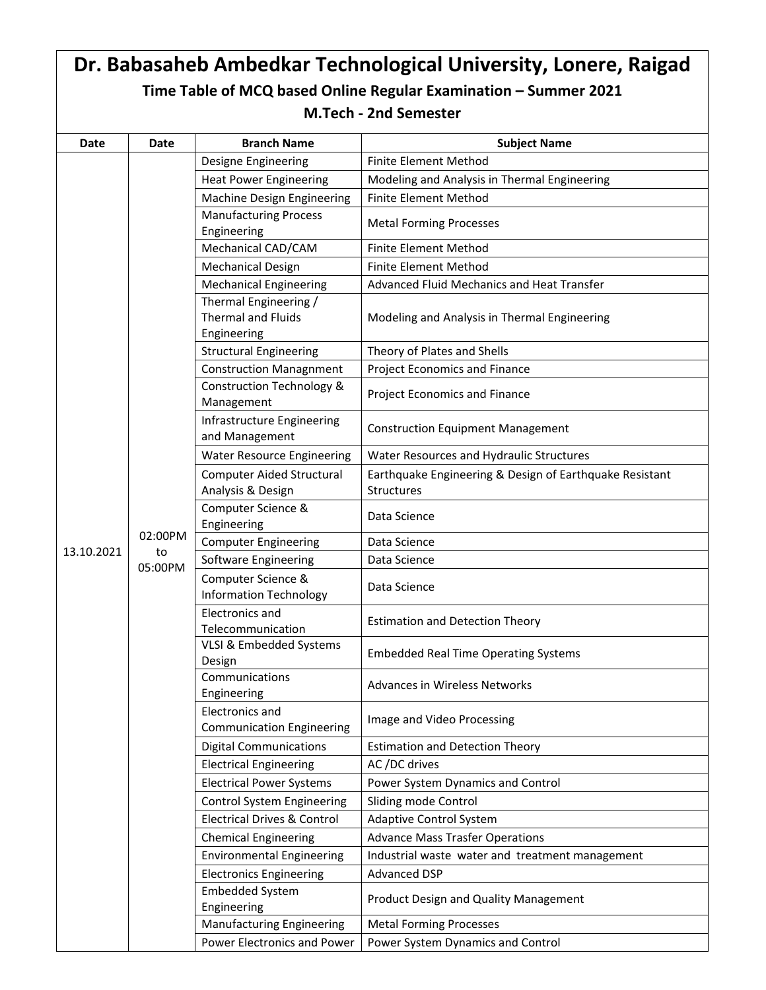|             | Dr. Babasaheb Ambedkar Technological University, Lonere, Raigad  |                                                                   |                                                         |  |  |
|-------------|------------------------------------------------------------------|-------------------------------------------------------------------|---------------------------------------------------------|--|--|
|             | Time Table of MCQ based Online Regular Examination - Summer 2021 |                                                                   |                                                         |  |  |
|             | <b>M.Tech - 2nd Semester</b>                                     |                                                                   |                                                         |  |  |
|             |                                                                  |                                                                   |                                                         |  |  |
| <b>Date</b> | <b>Date</b>                                                      | <b>Branch Name</b>                                                | <b>Subject Name</b>                                     |  |  |
|             |                                                                  | Designe Engineering                                               | <b>Finite Element Method</b>                            |  |  |
|             |                                                                  | <b>Heat Power Engineering</b>                                     | Modeling and Analysis in Thermal Engineering            |  |  |
|             |                                                                  | Machine Design Engineering                                        | <b>Finite Element Method</b>                            |  |  |
|             |                                                                  | <b>Manufacturing Process</b><br>Engineering                       | <b>Metal Forming Processes</b>                          |  |  |
|             |                                                                  | Mechanical CAD/CAM                                                | <b>Finite Element Method</b>                            |  |  |
|             |                                                                  | <b>Mechanical Design</b>                                          | <b>Finite Element Method</b>                            |  |  |
|             |                                                                  | <b>Mechanical Engineering</b>                                     | Advanced Fluid Mechanics and Heat Transfer              |  |  |
|             |                                                                  | Thermal Engineering /<br><b>Thermal and Fluids</b><br>Engineering | Modeling and Analysis in Thermal Engineering            |  |  |
|             |                                                                  | <b>Structural Engineering</b>                                     | Theory of Plates and Shells                             |  |  |
|             |                                                                  | <b>Construction Managnment</b>                                    | Project Economics and Finance                           |  |  |
|             |                                                                  | <b>Construction Technology &amp;</b><br>Management                | Project Economics and Finance                           |  |  |
|             |                                                                  | Infrastructure Engineering<br>and Management                      | <b>Construction Equipment Management</b>                |  |  |
|             |                                                                  | <b>Water Resource Engineering</b>                                 | Water Resources and Hydraulic Structures                |  |  |
|             |                                                                  | Computer Aided Structural                                         | Earthquake Engineering & Design of Earthquake Resistant |  |  |
|             |                                                                  | Analysis & Design                                                 | Structures                                              |  |  |
|             |                                                                  | Computer Science &<br>Engineering                                 | Data Science                                            |  |  |
|             | 02:00PM                                                          | <b>Computer Engineering</b>                                       | Data Science                                            |  |  |
| 13.10.2021  | to<br>05:00PM                                                    | Software Engineering                                              | Data Science                                            |  |  |
|             |                                                                  | Computer Science &<br><b>Information Technology</b>               | Data Science                                            |  |  |
|             |                                                                  | Electronics and<br>Telecommunication                              | <b>Estimation and Detection Theory</b>                  |  |  |
|             |                                                                  | VLSI & Embedded Systems<br>Design                                 | <b>Embedded Real Time Operating Systems</b>             |  |  |
|             |                                                                  | Communications<br>Engineering                                     | Advances in Wireless Networks                           |  |  |
|             |                                                                  | Electronics and<br><b>Communication Engineering</b>               | Image and Video Processing                              |  |  |
|             |                                                                  | <b>Digital Communications</b>                                     | <b>Estimation and Detection Theory</b>                  |  |  |
|             |                                                                  | <b>Electrical Engineering</b>                                     | AC /DC drives                                           |  |  |
|             |                                                                  | <b>Electrical Power Systems</b>                                   | Power System Dynamics and Control                       |  |  |
|             |                                                                  | <b>Control System Engineering</b>                                 | Sliding mode Control                                    |  |  |
|             |                                                                  | <b>Electrical Drives &amp; Control</b>                            | <b>Adaptive Control System</b>                          |  |  |
|             |                                                                  | <b>Chemical Engineering</b>                                       | <b>Advance Mass Trasfer Operations</b>                  |  |  |
|             |                                                                  | <b>Environmental Engineering</b>                                  | Industrial waste water and treatment management         |  |  |
|             |                                                                  | <b>Electronics Engineering</b>                                    | Advanced DSP                                            |  |  |
|             |                                                                  | <b>Embedded System</b><br>Engineering                             | Product Design and Quality Management                   |  |  |
|             |                                                                  | <b>Manufacturing Engineering</b>                                  | <b>Metal Forming Processes</b>                          |  |  |
|             |                                                                  | Power Electronics and Power                                       | Power System Dynamics and Control                       |  |  |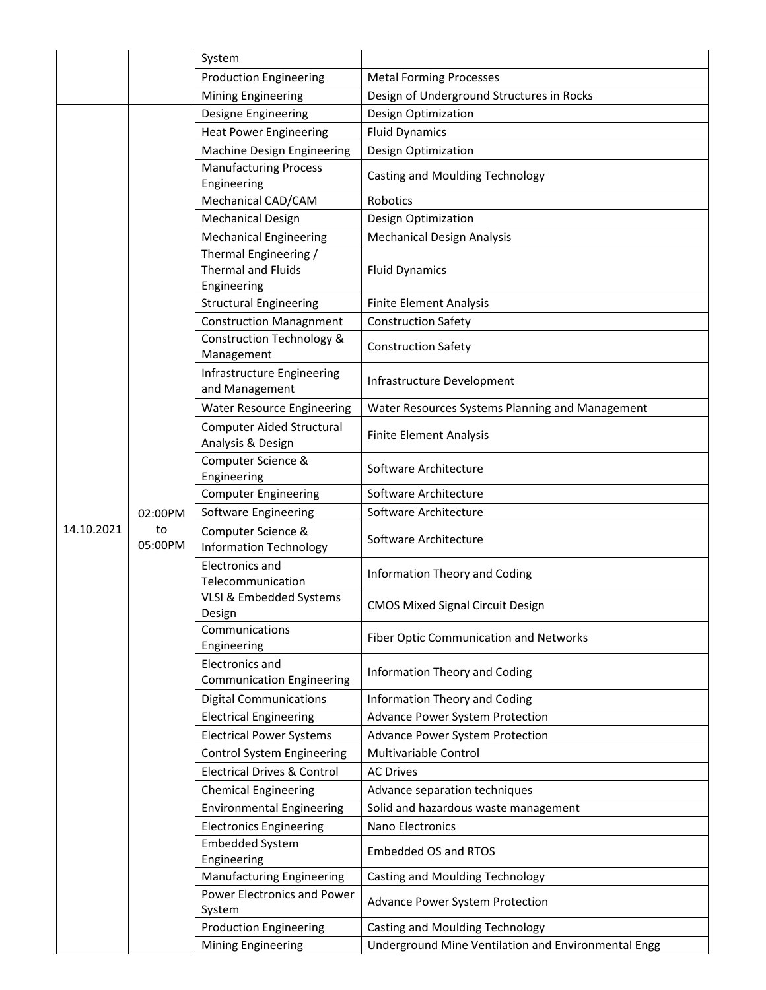|            |                          | System                                                            |                                                     |
|------------|--------------------------|-------------------------------------------------------------------|-----------------------------------------------------|
|            |                          | <b>Production Engineering</b>                                     | <b>Metal Forming Processes</b>                      |
|            |                          | <b>Mining Engineering</b>                                         | Design of Underground Structures in Rocks           |
|            |                          | Designe Engineering                                               | Design Optimization                                 |
|            |                          | <b>Heat Power Engineering</b>                                     | <b>Fluid Dynamics</b>                               |
|            |                          | Machine Design Engineering                                        | Design Optimization                                 |
|            |                          | <b>Manufacturing Process</b><br>Engineering                       | Casting and Moulding Technology                     |
|            |                          | Mechanical CAD/CAM                                                | Robotics                                            |
|            |                          | <b>Mechanical Design</b>                                          | Design Optimization                                 |
|            |                          | <b>Mechanical Engineering</b>                                     | <b>Mechanical Design Analysis</b>                   |
|            |                          | Thermal Engineering /<br><b>Thermal and Fluids</b><br>Engineering | <b>Fluid Dynamics</b>                               |
|            |                          | <b>Structural Engineering</b>                                     | <b>Finite Element Analysis</b>                      |
|            |                          | <b>Construction Managnment</b>                                    | <b>Construction Safety</b>                          |
|            |                          | <b>Construction Technology &amp;</b><br>Management                | <b>Construction Safety</b>                          |
|            |                          | Infrastructure Engineering<br>and Management                      | Infrastructure Development                          |
|            |                          | <b>Water Resource Engineering</b>                                 | Water Resources Systems Planning and Management     |
|            | 02:00PM<br>to<br>05:00PM | <b>Computer Aided Structural</b><br>Analysis & Design             | <b>Finite Element Analysis</b>                      |
|            |                          | Computer Science &<br>Engineering                                 | Software Architecture                               |
|            |                          | <b>Computer Engineering</b>                                       | Software Architecture                               |
|            |                          | Software Engineering                                              | Software Architecture                               |
| 14.10.2021 |                          | Computer Science &<br><b>Information Technology</b>               | Software Architecture                               |
|            |                          | Electronics and<br>Telecommunication                              | Information Theory and Coding                       |
|            |                          | VLSI & Embedded Systems<br>Design                                 | <b>CMOS Mixed Signal Circuit Design</b>             |
|            |                          | Communications<br>Engineering                                     | Fiber Optic Communication and Networks              |
|            |                          | <b>Electronics and</b><br><b>Communication Engineering</b>        | Information Theory and Coding                       |
|            |                          | <b>Digital Communications</b>                                     | Information Theory and Coding                       |
|            |                          | <b>Electrical Engineering</b>                                     | Advance Power System Protection                     |
|            |                          | <b>Electrical Power Systems</b>                                   | Advance Power System Protection                     |
|            |                          | <b>Control System Engineering</b>                                 | Multivariable Control                               |
|            |                          | <b>Electrical Drives &amp; Control</b>                            | <b>AC Drives</b>                                    |
|            |                          | <b>Chemical Engineering</b>                                       | Advance separation techniques                       |
|            |                          | <b>Environmental Engineering</b>                                  | Solid and hazardous waste management                |
|            |                          | <b>Electronics Engineering</b>                                    | Nano Electronics                                    |
|            |                          | <b>Embedded System</b><br>Engineering                             | <b>Embedded OS and RTOS</b>                         |
|            |                          | Manufacturing Engineering                                         | Casting and Moulding Technology                     |
|            |                          | Power Electronics and Power<br>System                             | Advance Power System Protection                     |
|            |                          | <b>Production Engineering</b>                                     | Casting and Moulding Technology                     |
|            |                          | Mining Engineering                                                | Underground Mine Ventilation and Environmental Engg |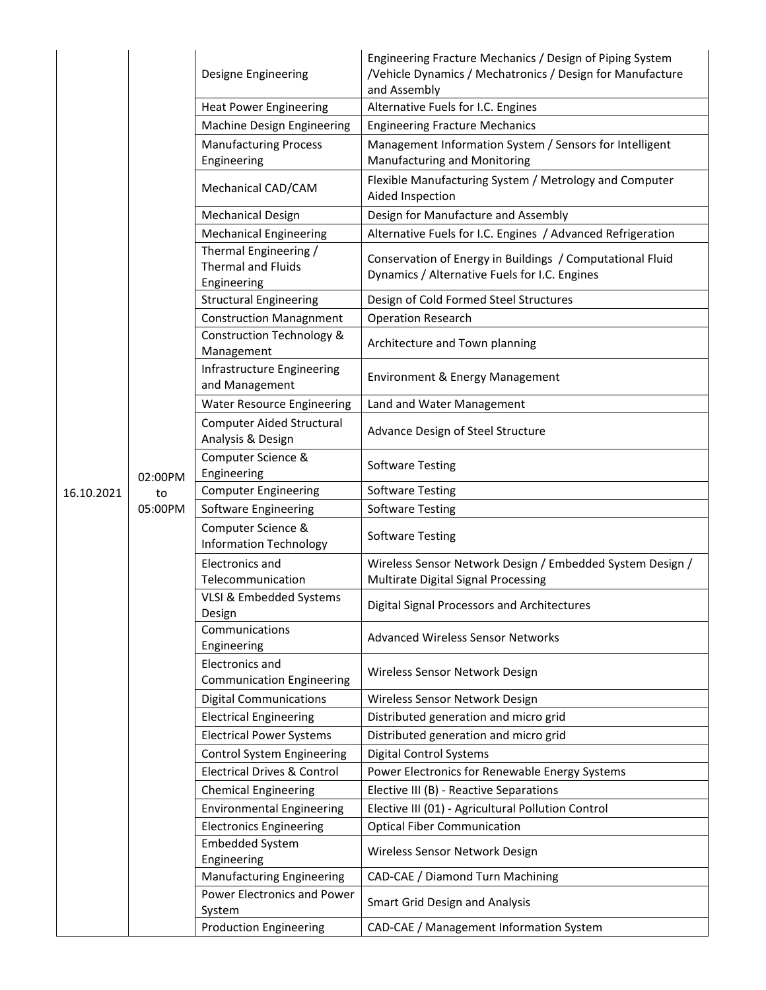|            |         | Designe Engineering                                               | Engineering Fracture Mechanics / Design of Piping System<br>/Vehicle Dynamics / Mechatronics / Design for Manufacture<br>and Assembly |
|------------|---------|-------------------------------------------------------------------|---------------------------------------------------------------------------------------------------------------------------------------|
|            |         | <b>Heat Power Engineering</b>                                     | Alternative Fuels for I.C. Engines                                                                                                    |
|            |         | Machine Design Engineering                                        | <b>Engineering Fracture Mechanics</b>                                                                                                 |
|            |         | <b>Manufacturing Process</b><br>Engineering                       | Management Information System / Sensors for Intelligent<br>Manufacturing and Monitoring                                               |
|            |         | Mechanical CAD/CAM                                                | Flexible Manufacturing System / Metrology and Computer<br>Aided Inspection                                                            |
|            |         | <b>Mechanical Design</b>                                          | Design for Manufacture and Assembly                                                                                                   |
|            |         | <b>Mechanical Engineering</b>                                     | Alternative Fuels for I.C. Engines / Advanced Refrigeration                                                                           |
|            |         | Thermal Engineering /<br><b>Thermal and Fluids</b><br>Engineering | Conservation of Energy in Buildings / Computational Fluid<br>Dynamics / Alternative Fuels for I.C. Engines                            |
|            |         | <b>Structural Engineering</b>                                     | Design of Cold Formed Steel Structures                                                                                                |
|            |         | <b>Construction Managnment</b>                                    | <b>Operation Research</b>                                                                                                             |
|            |         | <b>Construction Technology &amp;</b><br>Management                | Architecture and Town planning                                                                                                        |
|            |         | Infrastructure Engineering<br>and Management                      | Environment & Energy Management                                                                                                       |
|            |         | <b>Water Resource Engineering</b>                                 | Land and Water Management                                                                                                             |
|            |         | <b>Computer Aided Structural</b><br>Analysis & Design             | Advance Design of Steel Structure                                                                                                     |
|            | 02:00PM | Computer Science &<br>Engineering                                 | <b>Software Testing</b>                                                                                                               |
| 16.10.2021 | to      | <b>Computer Engineering</b>                                       | <b>Software Testing</b>                                                                                                               |
|            | 05:00PM | Software Engineering                                              | <b>Software Testing</b>                                                                                                               |
|            |         | Computer Science &<br><b>Information Technology</b>               | <b>Software Testing</b>                                                                                                               |
|            |         | Electronics and<br>Telecommunication                              | Wireless Sensor Network Design / Embedded System Design /<br>Multirate Digital Signal Processing                                      |
|            |         | VLSI & Embedded Systems<br>Design                                 | Digital Signal Processors and Architectures                                                                                           |
|            |         | Communications<br>Engineering                                     | <b>Advanced Wireless Sensor Networks</b>                                                                                              |
|            |         | <b>Electronics and</b><br><b>Communication Engineering</b>        | Wireless Sensor Network Design                                                                                                        |
|            |         | <b>Digital Communications</b>                                     | Wireless Sensor Network Design                                                                                                        |
|            |         | <b>Electrical Engineering</b>                                     | Distributed generation and micro grid                                                                                                 |
|            |         | <b>Electrical Power Systems</b>                                   | Distributed generation and micro grid                                                                                                 |
|            |         | <b>Control System Engineering</b>                                 | <b>Digital Control Systems</b>                                                                                                        |
|            |         | <b>Electrical Drives &amp; Control</b>                            | Power Electronics for Renewable Energy Systems                                                                                        |
|            |         | <b>Chemical Engineering</b>                                       | Elective III (B) - Reactive Separations                                                                                               |
|            |         | <b>Environmental Engineering</b>                                  | Elective III (01) - Agricultural Pollution Control                                                                                    |
|            |         | <b>Electronics Engineering</b>                                    | <b>Optical Fiber Communication</b>                                                                                                    |
|            |         | <b>Embedded System</b>                                            | Wireless Sensor Network Design                                                                                                        |
|            |         | Engineering<br><b>Manufacturing Engineering</b>                   | CAD-CAE / Diamond Turn Machining                                                                                                      |
|            |         | Power Electronics and Power<br>System                             | <b>Smart Grid Design and Analysis</b>                                                                                                 |
|            |         | <b>Production Engineering</b>                                     | CAD-CAE / Management Information System                                                                                               |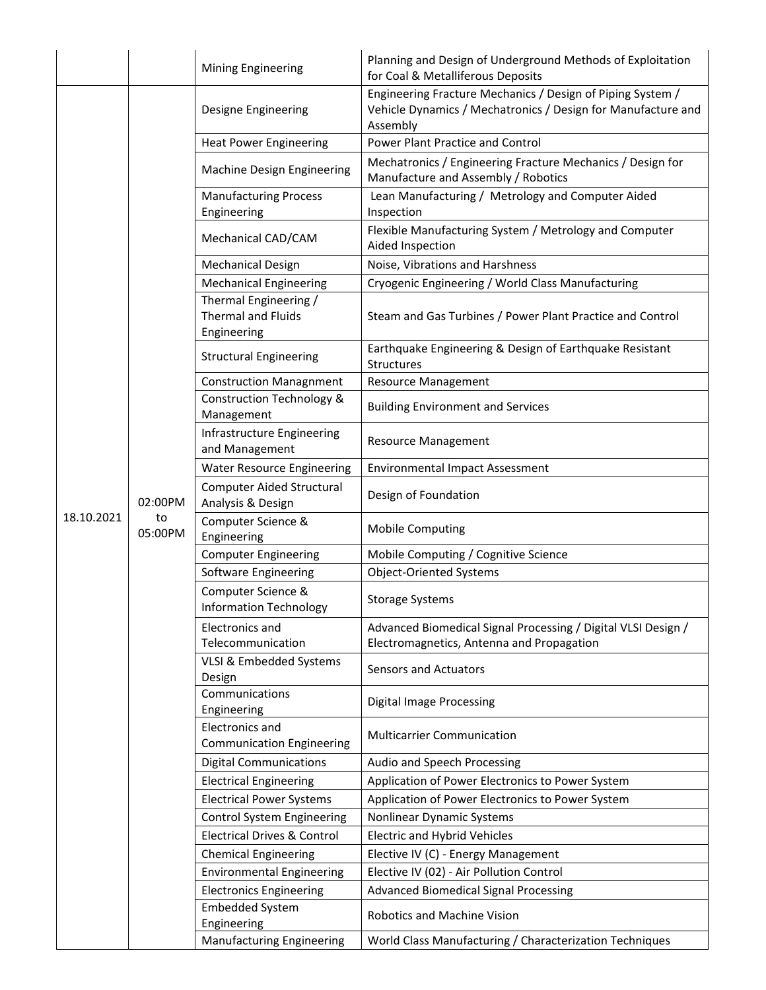|            |                          | <b>Mining Engineering</b>                                         | Planning and Design of Underground Methods of Exploitation<br>for Coal & Metalliferous Deposits                                        |
|------------|--------------------------|-------------------------------------------------------------------|----------------------------------------------------------------------------------------------------------------------------------------|
|            |                          | Designe Engineering                                               | Engineering Fracture Mechanics / Design of Piping System /<br>Vehicle Dynamics / Mechatronics / Design for Manufacture and<br>Assembly |
|            |                          | <b>Heat Power Engineering</b>                                     | Power Plant Practice and Control                                                                                                       |
|            |                          | Machine Design Engineering                                        | Mechatronics / Engineering Fracture Mechanics / Design for<br>Manufacture and Assembly / Robotics                                      |
|            |                          | <b>Manufacturing Process</b><br>Engineering                       | Lean Manufacturing / Metrology and Computer Aided<br>Inspection                                                                        |
|            |                          | Mechanical CAD/CAM                                                | Flexible Manufacturing System / Metrology and Computer<br>Aided Inspection                                                             |
|            |                          | <b>Mechanical Design</b>                                          | Noise, Vibrations and Harshness                                                                                                        |
|            |                          | <b>Mechanical Engineering</b>                                     | Cryogenic Engineering / World Class Manufacturing                                                                                      |
|            |                          | Thermal Engineering /<br><b>Thermal and Fluids</b><br>Engineering | Steam and Gas Turbines / Power Plant Practice and Control                                                                              |
|            |                          | <b>Structural Engineering</b>                                     | Earthquake Engineering & Design of Earthquake Resistant<br>Structures                                                                  |
|            |                          | <b>Construction Managnment</b>                                    | <b>Resource Management</b>                                                                                                             |
|            |                          | Construction Technology &<br>Management                           | <b>Building Environment and Services</b>                                                                                               |
|            |                          | Infrastructure Engineering<br>and Management                      | <b>Resource Management</b>                                                                                                             |
|            |                          | <b>Water Resource Engineering</b>                                 | <b>Environmental Impact Assessment</b>                                                                                                 |
|            | 02:00PM<br>to<br>05:00PM | <b>Computer Aided Structural</b><br>Analysis & Design             | Design of Foundation                                                                                                                   |
| 18.10.2021 |                          | Computer Science &<br>Engineering                                 | <b>Mobile Computing</b>                                                                                                                |
|            |                          | <b>Computer Engineering</b>                                       | Mobile Computing / Cognitive Science                                                                                                   |
|            |                          | Software Engineering                                              | <b>Object-Oriented Systems</b>                                                                                                         |
|            |                          | Computer Science &<br><b>Information Technology</b>               | <b>Storage Systems</b>                                                                                                                 |
|            |                          | Electronics and<br>Telecommunication                              | Advanced Biomedical Signal Processing / Digital VLSI Design /<br>Electromagnetics, Antenna and Propagation                             |
|            |                          | VLSI & Embedded Systems<br>Design                                 | Sensors and Actuators                                                                                                                  |
|            |                          | Communications<br>Engineering                                     | <b>Digital Image Processing</b>                                                                                                        |
|            |                          | <b>Electronics and</b><br><b>Communication Engineering</b>        | <b>Multicarrier Communication</b>                                                                                                      |
|            |                          | <b>Digital Communications</b>                                     | Audio and Speech Processing                                                                                                            |
|            |                          | <b>Electrical Engineering</b>                                     | Application of Power Electronics to Power System                                                                                       |
|            |                          | <b>Electrical Power Systems</b>                                   | Application of Power Electronics to Power System                                                                                       |
|            |                          | <b>Control System Engineering</b>                                 | Nonlinear Dynamic Systems                                                                                                              |
|            |                          | <b>Electrical Drives &amp; Control</b>                            | <b>Electric and Hybrid Vehicles</b>                                                                                                    |
|            |                          | <b>Chemical Engineering</b>                                       | Elective IV (C) - Energy Management                                                                                                    |
|            |                          | <b>Environmental Engineering</b>                                  | Elective IV (02) - Air Pollution Control                                                                                               |
|            |                          | <b>Electronics Engineering</b>                                    | <b>Advanced Biomedical Signal Processing</b>                                                                                           |
|            |                          | <b>Embedded System</b><br>Engineering                             | Robotics and Machine Vision                                                                                                            |
|            |                          | Manufacturing Engineering                                         | World Class Manufacturing / Characterization Techniques                                                                                |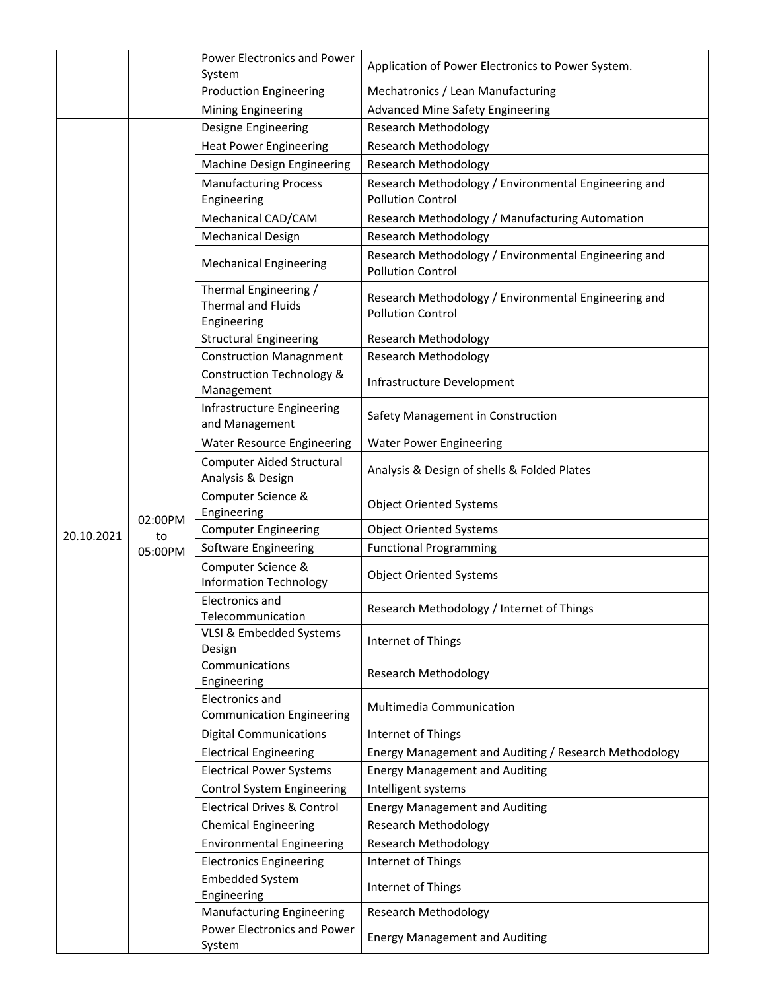|            |               | <b>Power Electronics and Power</b><br>System                      | Application of Power Electronics to Power System.                                |
|------------|---------------|-------------------------------------------------------------------|----------------------------------------------------------------------------------|
|            |               | <b>Production Engineering</b>                                     | Mechatronics / Lean Manufacturing                                                |
|            |               | <b>Mining Engineering</b>                                         | <b>Advanced Mine Safety Engineering</b>                                          |
|            |               | Designe Engineering                                               | Research Methodology                                                             |
|            |               | <b>Heat Power Engineering</b>                                     | <b>Research Methodology</b>                                                      |
|            |               | Machine Design Engineering                                        | <b>Research Methodology</b>                                                      |
|            |               | <b>Manufacturing Process</b><br>Engineering                       | Research Methodology / Environmental Engineering and<br><b>Pollution Control</b> |
|            |               | Mechanical CAD/CAM                                                | Research Methodology / Manufacturing Automation                                  |
|            |               | <b>Mechanical Design</b>                                          | <b>Research Methodology</b>                                                      |
|            |               | <b>Mechanical Engineering</b>                                     | Research Methodology / Environmental Engineering and<br><b>Pollution Control</b> |
|            |               | Thermal Engineering /<br><b>Thermal and Fluids</b><br>Engineering | Research Methodology / Environmental Engineering and<br><b>Pollution Control</b> |
|            |               | <b>Structural Engineering</b>                                     | <b>Research Methodology</b>                                                      |
|            |               | <b>Construction Managnment</b>                                    | <b>Research Methodology</b>                                                      |
|            |               | <b>Construction Technology &amp;</b><br>Management                | Infrastructure Development                                                       |
|            |               | Infrastructure Engineering<br>and Management                      | Safety Management in Construction                                                |
|            |               | <b>Water Resource Engineering</b>                                 | <b>Water Power Engineering</b>                                                   |
|            |               | Computer Aided Structural<br>Analysis & Design                    | Analysis & Design of shells & Folded Plates                                      |
|            |               | Computer Science &<br>Engineering                                 | <b>Object Oriented Systems</b>                                                   |
| 20.10.2021 | 02:00PM<br>to | <b>Computer Engineering</b>                                       | <b>Object Oriented Systems</b>                                                   |
|            | 05:00PM       | Software Engineering                                              | <b>Functional Programming</b>                                                    |
|            |               | Computer Science &<br><b>Information Technology</b>               | <b>Object Oriented Systems</b>                                                   |
|            |               | Electronics and<br>Telecommunication                              | Research Methodology / Internet of Things                                        |
|            |               | VLSI & Embedded Systems<br>Design                                 | Internet of Things                                                               |
|            |               | Communications<br>Engineering                                     | <b>Research Methodology</b>                                                      |
|            |               | Electronics and<br><b>Communication Engineering</b>               | Multimedia Communication                                                         |
|            |               | <b>Digital Communications</b>                                     | Internet of Things                                                               |
|            |               | <b>Electrical Engineering</b>                                     | Energy Management and Auditing / Research Methodology                            |
|            |               | <b>Electrical Power Systems</b>                                   | <b>Energy Management and Auditing</b>                                            |
|            |               | <b>Control System Engineering</b>                                 | Intelligent systems                                                              |
|            |               | <b>Electrical Drives &amp; Control</b>                            | <b>Energy Management and Auditing</b>                                            |
|            |               | <b>Chemical Engineering</b>                                       | <b>Research Methodology</b>                                                      |
|            |               | <b>Environmental Engineering</b>                                  | <b>Research Methodology</b>                                                      |
|            |               | <b>Electronics Engineering</b>                                    | Internet of Things                                                               |
|            |               | Embedded System<br>Engineering                                    | Internet of Things                                                               |
|            |               | <b>Manufacturing Engineering</b>                                  | <b>Research Methodology</b>                                                      |
|            |               | Power Electronics and Power<br>System                             | <b>Energy Management and Auditing</b>                                            |